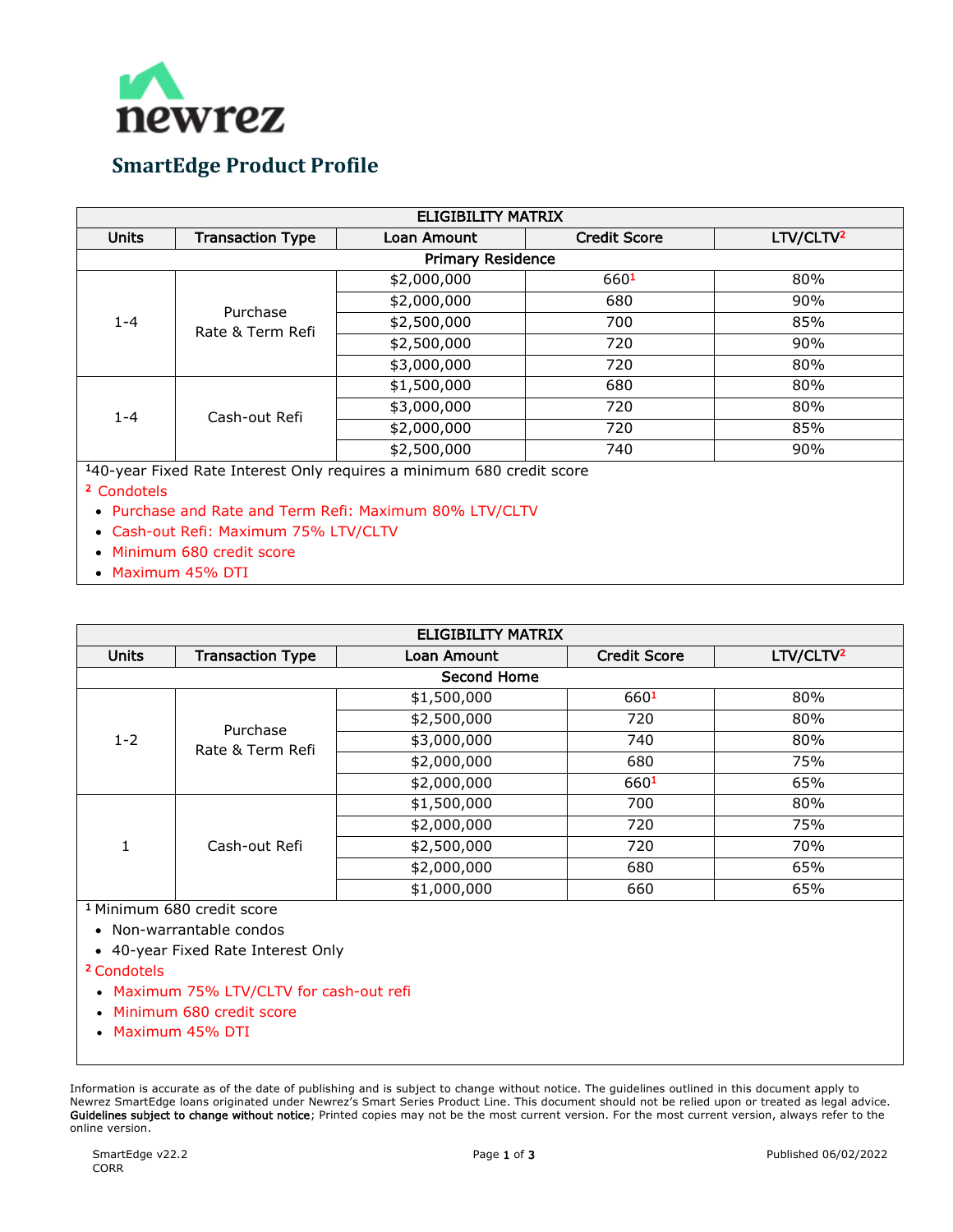

## **SmartEdge Product Profile**

| <b>ELIGIBILITY MATRIX</b>                                             |                              |             |                     |                       |  |
|-----------------------------------------------------------------------|------------------------------|-------------|---------------------|-----------------------|--|
| <b>Units</b>                                                          | <b>Transaction Type</b>      | Loan Amount | <b>Credit Score</b> | LTV/CLTV <sup>2</sup> |  |
| <b>Primary Residence</b>                                              |                              |             |                     |                       |  |
| $1 - 4$                                                               | Purchase<br>Rate & Term Refi | \$2,000,000 | 6601                | 80%                   |  |
|                                                                       |                              | \$2,000,000 | 680                 | 90%                   |  |
|                                                                       |                              | \$2,500,000 | 700                 | 85%                   |  |
|                                                                       |                              | \$2,500,000 | 720                 | 90%                   |  |
|                                                                       |                              | \$3,000,000 | 720                 | 80%                   |  |
| $1 - 4$                                                               | Cash-out Refi                | \$1,500,000 | 680                 | 80%                   |  |
|                                                                       |                              | \$3,000,000 | 720                 | 80%                   |  |
|                                                                       |                              | \$2,000,000 | 720                 | 85%                   |  |
|                                                                       |                              | \$2,500,000 | 740                 | 90%                   |  |
| 140-year Fixed Rate Interest Only requires a minimum 680 credit score |                              |             |                     |                       |  |

140-year Fixed Rate Interest Only requires a minimum 680 credit score

- 2 Condotels
	- Purchase and Rate and Term Refi: Maximum 80% LTV/CLTV
	- Cash-out Refi: Maximum 75% LTV/CLTV
	- Minimum 680 credit score
- Maximum 45% DTI

| <b>ELIGIBILITY MATRIX</b> |                              |             |                     |                       |  |  |
|---------------------------|------------------------------|-------------|---------------------|-----------------------|--|--|
| <b>Units</b>              | <b>Transaction Type</b>      | Loan Amount | <b>Credit Score</b> | LTV/CLTV <sup>2</sup> |  |  |
| <b>Second Home</b>        |                              |             |                     |                       |  |  |
| $1 - 2$                   | Purchase<br>Rate & Term Refi | \$1,500,000 | 6601                | 80%                   |  |  |
|                           |                              | \$2,500,000 | 720                 | 80%                   |  |  |
|                           |                              | \$3,000,000 | 740                 | 80%                   |  |  |
|                           |                              | \$2,000,000 | 680                 | 75%                   |  |  |
|                           |                              | \$2,000,000 | 6601                | 65%                   |  |  |
| 1                         | Cash-out Refi                | \$1,500,000 | 700                 | 80%                   |  |  |
|                           |                              | \$2,000,000 | 720                 | 75%                   |  |  |
|                           |                              | \$2,500,000 | 720                 | 70%                   |  |  |
|                           |                              | \$2,000,000 | 680                 | 65%                   |  |  |
|                           |                              | \$1,000,000 | 660                 | 65%                   |  |  |

1 Minimum 680 credit score

- Non-warrantable condos
- 40-year Fixed Rate Interest Only

## 2 Condotels

- Maximum 75% LTV/CLTV for cash-out refi
- Minimum 680 credit score
- Maximum 45% DTI

Information is accurate as of the date of publishing and is subject to change without notice. The guidelines outlined in this document apply to Newrez SmartEdge loans originated under Newrez's Smart Series Product Line. This document should not be relied upon or treated as legal advice. Guidelines subject to change without notice; Printed copies may not be the most current version. For the most current version, always refer to the online version.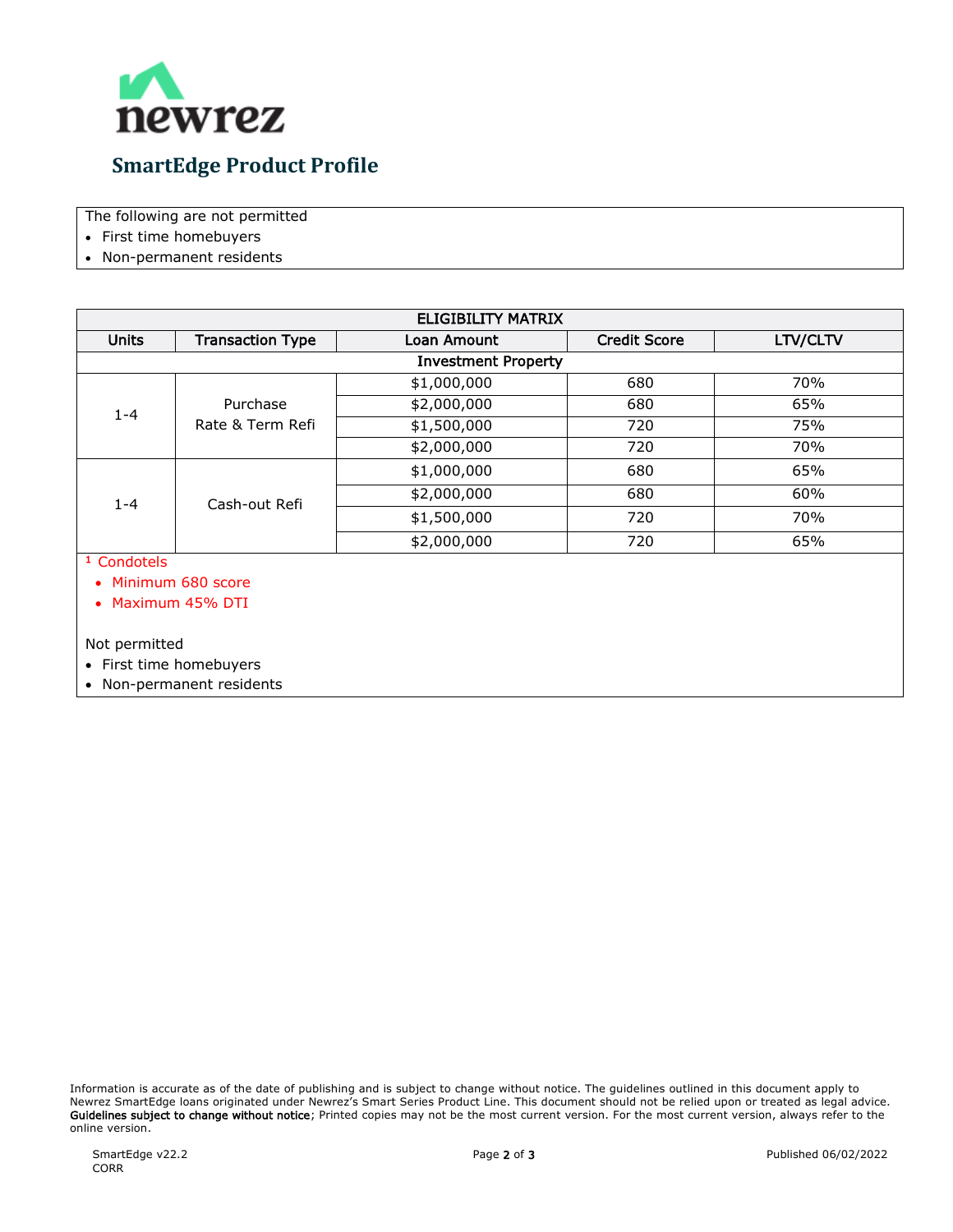

The following are not permitted

- First time homebuyers
- Non-permanent residents

| <b>ELIGIBILITY MATRIX</b>  |                              |             |                     |          |  |
|----------------------------|------------------------------|-------------|---------------------|----------|--|
| <b>Units</b>               | <b>Transaction Type</b>      | Loan Amount | <b>Credit Score</b> | LTV/CLTV |  |
| <b>Investment Property</b> |                              |             |                     |          |  |
| $1 - 4$                    | Purchase<br>Rate & Term Refi | \$1,000,000 | 680                 | 70%      |  |
|                            |                              | \$2,000,000 | 680                 | 65%      |  |
|                            |                              | \$1,500,000 | 720                 | 75%      |  |
|                            |                              | \$2,000,000 | 720                 | 70%      |  |
| $1 - 4$                    | Cash-out Refi                | \$1,000,000 | 680                 | 65%      |  |
|                            |                              | \$2,000,000 | 680                 | 60%      |  |
|                            |                              | \$1,500,000 | 720                 | 70%      |  |
|                            |                              | \$2,000,000 | 720                 | 65%      |  |

1 Condotels

• Minimum 680 score

• Maximum 45% DTI

Not permitted

• First time homebuyers

• Non-permanent residents

Information is accurate as of the date of publishing and is subject to change without notice. The guidelines outlined in this document apply to Newrez SmartEdge loans originated under Newrez's Smart Series Product Line. This document should not be relied upon or treated as legal advice. Guidelines subject to change without notice; Printed copies may not be the most current version. For the most current version, always refer to the online version.